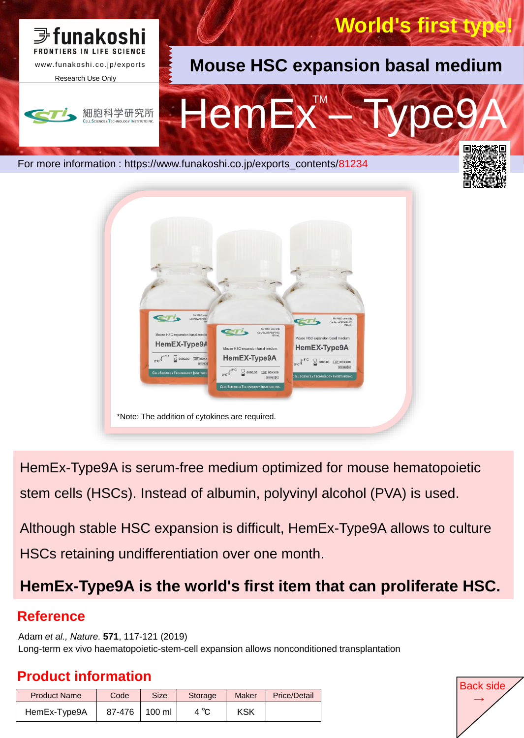



HemEx-Type9A is serum-free medium optimized for mouse hematopoietic stem cells (HSCs). Instead of albumin, polyvinyl alcohol (PVA) is used.

Although stable HSC expansion is difficult, HemEx-Type9A allows to culture HSCs retaining undifferentiation over one month.

# **HemEx-Type9A is the world's first item that can proliferate HSC.**

### **Reference**

Adam *et al., Nature.* **571**, 117-121 (2019) Long-term ex vivo haematopoietic-stem-cell expansion allows nonconditioned transplantation

## **Product information Product information**

| <b>Product Name</b> | Code   | <b>Size</b>      | Storage | <b>Maker</b> | <b>Price/Detail</b> |
|---------------------|--------|------------------|---------|--------------|---------------------|
| HemEx-Type9A        | 87-476 | $100 \mathrm{m}$ | 4 °C    | <b>KSK</b>   |                     |